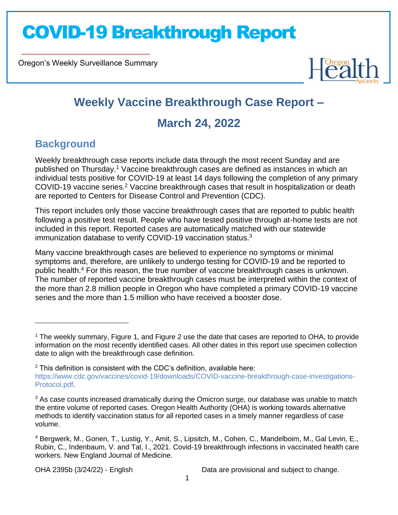Oregon's Weekly Surveillance Summary



### **Weekly Vaccine Breakthrough Case Report –**

### **March 24, 2022**

### **Background**

Novel Coronavirus (COVID-19)

Weekly breakthrough case reports include data through the most recent Sunday and are published on Thursday.<sup>1</sup> Vaccine breakthrough cases are defined as instances in which an individual tests positive for COVID-19 at least 14 days following the completion of any primary COVID-19 vaccine series.<sup>2</sup> Vaccine breakthrough cases that result in hospitalization or death are reported to Centers for Disease Control and Prevention (CDC).

This report includes only those vaccine breakthrough cases that are reported to public health following a positive test result. People who have tested positive through at-home tests are not included in this report. Reported cases are automatically matched with our statewide immunization database to verify COVID-19 vaccination status.<sup>3</sup>

Many vaccine breakthrough cases are believed to experience no symptoms or minimal symptoms and, therefore, are unlikely to undergo testing for COVID-19 and be reported to public health.<sup>4</sup> For this reason, the true number of vaccine breakthrough cases is unknown. The number of reported vaccine breakthrough cases must be interpreted within the context of the more than 2.8 million people in Oregon who have completed a primary COVID-19 vaccine series and the more than 1.5 million who have received a booster dose.

<sup>1</sup> The weekly summary, Figure 1, and Figure 2 use the date that cases are reported to OHA, to provide information on the most recently identified cases. All other dates in this report use specimen collection date to align with the breakthrough case definition.

 $2$  This definition is consistent with the CDC's definition, available here: https://www.cdc.gov/vaccines/covid-19/downloads/COVID-vaccine-breakthrough-case-investigations-Protocol.pdf.

 $3$  As case counts increased dramatically during the Omicron surge, our database was unable to match the entire volume of reported cases. Oregon Health Authority (OHA) is working towards alternative methods to identify vaccination status for all reported cases in a timely manner regardless of case volume.

<sup>4</sup> Bergwerk, M., Gonen, T., Lustig, Y., Amit, S., Lipsitch, M., Cohen, C., Mandelboim, M., Gal Levin, E., Rubin, C., Indenbaum, V. and Tal, I., 2021. Covid-19 breakthrough infections in vaccinated health care workers. New England Journal of Medicine.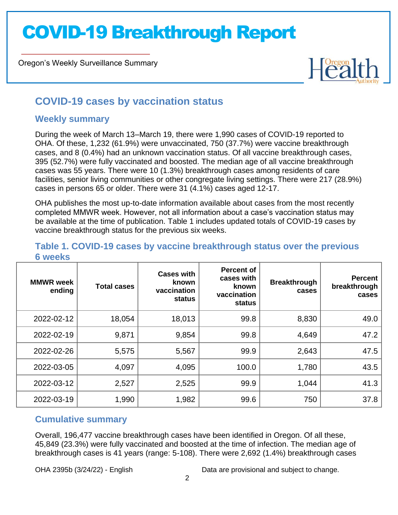Oregon's Weekly Surveillance Summary

# $H^{0}$

### **COVID-19 cases by vaccination status**

### **Weekly summary**

Novel Coronavirus (COVID-19)

During the week of March 13–March 19, there were 1,990 cases of COVID-19 reported to OHA. Of these, 1,232 (61.9%) were unvaccinated, 750 (37.7%) were vaccine breakthrough cases, and 8 (0.4%) had an unknown vaccination status. Of all vaccine breakthrough cases, 395 (52.7%) were fully vaccinated and boosted. The median age of all vaccine breakthrough cases was 55 years. There were 10 (1.3%) breakthrough cases among residents of care facilities, senior living communities or other congregate living settings. There were 217 (28.9%) cases in persons 65 or older. There were 31 (4.1%) cases aged 12-17.

OHA publishes the most up-to-date information available about cases from the most recently completed MMWR week. However, not all information about a case's vaccination status may be available at the time of publication. Table 1 includes updated totals of COVID-19 cases by vaccine breakthrough status for the previous six weeks.

| <b>MMWR</b> week<br>ending | <b>Total cases</b> | <b>Cases with</b><br>known.<br>vaccination<br>status | <b>Percent of</b><br>cases with<br>known<br>vaccination<br>status | <b>Breakthrough</b><br>cases | <b>Percent</b><br>breakthrough<br>cases |
|----------------------------|--------------------|------------------------------------------------------|-------------------------------------------------------------------|------------------------------|-----------------------------------------|
| 2022-02-12                 | 18,054             | 18,013                                               | 99.8                                                              | 8,830                        | 49.0                                    |
| 2022-02-19                 | 9,871              | 9,854                                                | 99.8                                                              | 4,649                        | 47.2                                    |
| 2022-02-26                 | 5,575              | 5,567                                                | 99.9                                                              | 2,643                        | 47.5                                    |
| 2022-03-05                 | 4,097              | 4,095                                                | 100.0                                                             | 1,780                        | 43.5                                    |
| 2022-03-12                 | 2,527              | 2,525                                                | 99.9                                                              | 1,044                        | 41.3                                    |
| 2022-03-19                 | 1,990              | 1,982                                                | 99.6                                                              | 750                          | 37.8                                    |

#### **Table 1. COVID-19 cases by vaccine breakthrough status over the previous 6 weeks**

### **Cumulative summary**

Overall, 196,477 vaccine breakthrough cases have been identified in Oregon. Of all these, 45,849 (23.3%) were fully vaccinated and boosted at the time of infection. The median age of breakthrough cases is 41 years (range: 5-108). There were 2,692 (1.4%) breakthrough cases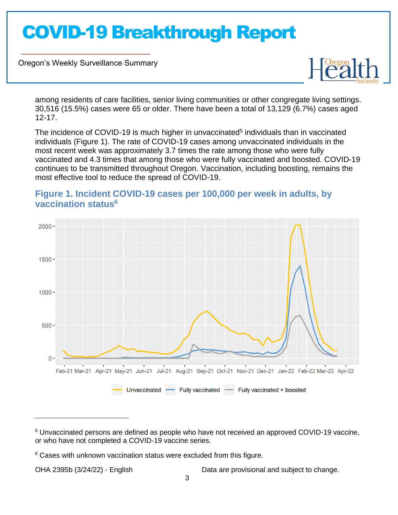Oregon's Weekly Surveillance Summary

Novel Coronavirus (COVID-19)



among residents of care facilities, senior living communities or other congregate living settings. 30,516 (15.5%) cases were 65 or older. There have been a total of 13,129 (6.7%) cases aged 12-17.

The incidence of COVID-19 is much higher in unvaccinated<sup>5</sup> individuals than in vaccinated individuals (Figure 1). The rate of COVID-19 cases among unvaccinated individuals in the most recent week was approximately 3.7 times the rate among those who were fully vaccinated and 4.3 times that among those who were fully vaccinated and boosted. COVID-19 continues to be transmitted throughout Oregon. Vaccination, including boosting, remains the most effective tool to reduce the spread of COVID-19.



### **Figure 1. Incident COVID-19 cases per 100,000 per week in adults, by vaccination status<sup>6</sup>**

<sup>5</sup> Unvaccinated persons are defined as people who have not received an approved COVID-19 vaccine, or who have not completed a COVID-19 vaccine series.

<sup>&</sup>lt;sup>6</sup> Cases with unknown vaccination status were excluded from this figure.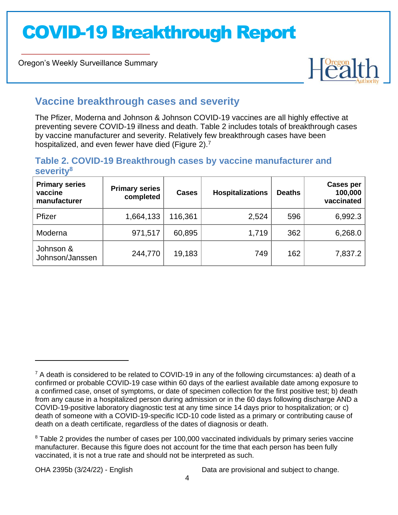Oregon's Weekly Surveillance Summary

Novel Coronavirus (COVID-19)



### **Vaccine breakthrough cases and severity**

The Pfizer, Moderna and Johnson & Johnson COVID-19 vaccines are all highly effective at preventing severe COVID-19 illness and death. Table 2 includes totals of breakthrough cases by vaccine manufacturer and severity. Relatively few breakthrough cases have been hospitalized, and even fewer have died (Figure 2).<sup>7</sup>

#### **Table 2. COVID-19 Breakthrough cases by vaccine manufacturer and severity<sup>8</sup>**

| <b>Primary series</b><br>vaccine<br>manufacturer | <b>Primary series</b><br>completed | <b>Cases</b> | <b>Hospitalizations</b> | <b>Deaths</b> | <b>Cases per</b><br>100,000<br>vaccinated |
|--------------------------------------------------|------------------------------------|--------------|-------------------------|---------------|-------------------------------------------|
| Pfizer                                           | 1,664,133                          | 116,361      | 2,524                   | 596           | 6,992.3                                   |
| Moderna                                          | 971,517                            | 60,895       | 1,719                   | 362           | 6,268.0                                   |
| Johnson &<br>Johnson/Janssen                     | 244,770                            | 19,183       | 749                     | 162           | 7,837.2                                   |

 $7$  A death is considered to be related to COVID-19 in any of the following circumstances: a) death of a confirmed or probable COVID-19 case within 60 days of the earliest available date among exposure to a confirmed case, onset of symptoms, or date of specimen collection for the first positive test; b) death from any cause in a hospitalized person during admission or in the 60 days following discharge AND a COVID-19-positive laboratory diagnostic test at any time since 14 days prior to hospitalization; or c) death of someone with a COVID-19-specific ICD-10 code listed as a primary or contributing cause of death on a death certificate, regardless of the dates of diagnosis or death.

<sup>&</sup>lt;sup>8</sup> Table 2 provides the number of cases per 100,000 vaccinated individuals by primary series vaccine manufacturer. Because this figure does not account for the time that each person has been fully vaccinated, it is not a true rate and should not be interpreted as such.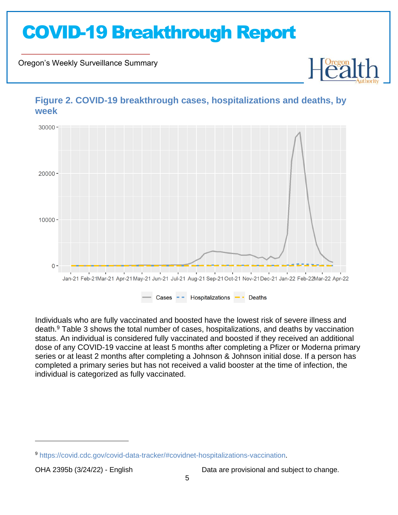Oregon's Weekly Surveillance Summary

Novel Coronavirus (COVID-19)



**Figure 2. COVID-19 breakthrough cases, hospitalizations and deaths, by week**

Individuals who are fully vaccinated and boosted have the lowest risk of severe illness and death.<sup>9</sup> Table 3 shows the total number of cases, hospitalizations, and deaths by vaccination status. An individual is considered fully vaccinated and boosted if they received an additional dose of any COVID-19 vaccine at least 5 months after completing a Pfizer or Moderna primary series or at least 2 months after completing a Johnson & Johnson initial dose. If a person has completed a primary series but has not received a valid booster at the time of infection, the individual is categorized as fully vaccinated.

<sup>9</sup> https://covid.cdc.gov/covid-data-tracker/#covidnet-hospitalizations-vaccination.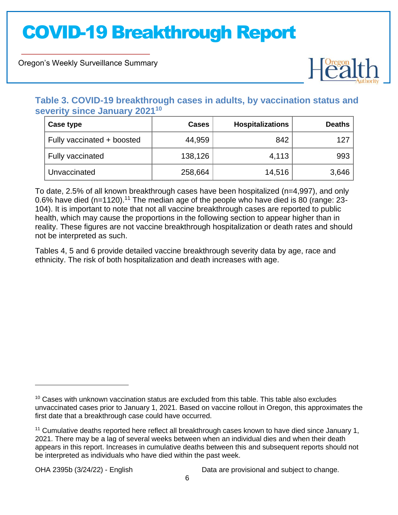Oregon's Weekly Surveillance Summary

Novel Coronavirus (COVID-19)



### **Table 3. COVID-19 breakthrough cases in adults, by vaccination status and severity since January 2021<sup>10</sup>**

| Case type                  | <b>Cases</b> | <b>Hospitalizations</b> | <b>Deaths</b> |
|----------------------------|--------------|-------------------------|---------------|
| Fully vaccinated + boosted | 44,959       | 842                     | 127           |
| Fully vaccinated           | 138,126      | 4,113                   | 993           |
| Unvaccinated               | 258,664      | 14,516                  | 3,646         |

To date, 2.5% of all known breakthrough cases have been hospitalized (n=4,997), and only 0.6% have died (n=1120).<sup>11</sup> The median age of the people who have died is 80 (range: 23-104). It is important to note that not all vaccine breakthrough cases are reported to public health, which may cause the proportions in the following section to appear higher than in reality. These figures are not vaccine breakthrough hospitalization or death rates and should not be interpreted as such.

Tables 4, 5 and 6 provide detailed vaccine breakthrough severity data by age, race and ethnicity. The risk of both hospitalization and death increases with age.

<sup>&</sup>lt;sup>10</sup> Cases with unknown vaccination status are excluded from this table. This table also excludes unvaccinated cases prior to January 1, 2021. Based on vaccine rollout in Oregon, this approximates the first date that a breakthrough case could have occurred.

<sup>11</sup> Cumulative deaths reported here reflect all breakthrough cases known to have died since January 1, 2021. There may be a lag of several weeks between when an individual dies and when their death appears in this report. Increases in cumulative deaths between this and subsequent reports should not be interpreted as individuals who have died within the past week.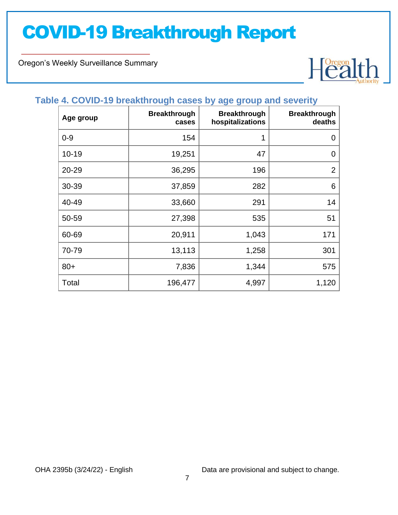Oregon's Weekly Surveillance Summary

Novel Coronavirus (COVID-19)



## **Table 4. COVID-19 breakthrough cases by age group and severity**

| Age group | <b>Breakthrough</b><br>cases | <b>Breakthrough</b><br>hospitalizations | <b>Breakthrough</b><br>deaths |
|-----------|------------------------------|-----------------------------------------|-------------------------------|
| $0 - 9$   | 154                          | 1                                       | $\mathbf 0$                   |
| $10 - 19$ | 19,251                       | 47                                      | 0                             |
| 20-29     | 36,295                       | 196                                     | $\overline{2}$                |
| 30-39     | 37,859                       | 282                                     | 6                             |
| 40-49     | 33,660                       | 291                                     | 14                            |
| 50-59     | 27,398                       | 535                                     | 51                            |
| 60-69     | 20,911                       | 1,043                                   | 171                           |
| 70-79     | 13,113                       | 1,258                                   | 301                           |
| $80+$     | 7,836                        | 1,344                                   | 575                           |
| Total     | 196,477                      | 4,997                                   | 1,120                         |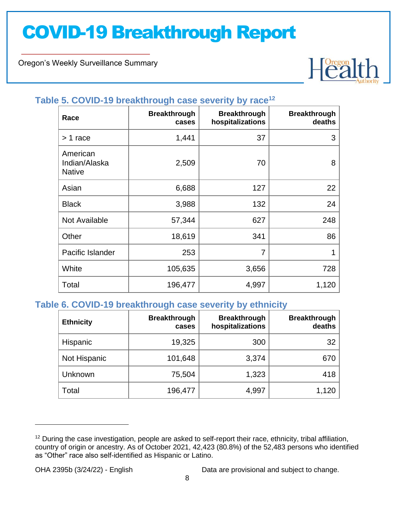Oregon's Weekly Surveillance Summary

Novel Coronavirus (COVID-19)



### **Table 5. COVID-19 breakthrough case severity by race<sup>12</sup>**

| Race                                       | <b>Breakthrough</b><br>cases | <b>Breakthrough</b><br>hospitalizations | <b>Breakthrough</b><br>deaths |
|--------------------------------------------|------------------------------|-----------------------------------------|-------------------------------|
| > 1 race                                   | 1,441                        | 37                                      | 3                             |
| American<br>Indian/Alaska<br><b>Native</b> | 2,509                        | 70                                      | 8                             |
| Asian                                      | 6,688                        | 127                                     | 22                            |
| <b>Black</b>                               | 3,988                        | 132                                     | 24                            |
| Not Available                              | 57,344                       | 627                                     | 248                           |
| Other                                      | 18,619                       | 341                                     | 86                            |
| Pacific Islander                           | 253                          | 7                                       | 1                             |
| White                                      | 105,635                      | 3,656                                   | 728                           |
| Total                                      | 196,477                      | 4,997                                   | 1,120                         |

### **Table 6. COVID-19 breakthrough case severity by ethnicity**

| <b>Ethnicity</b> | <b>Breakthrough</b><br>cases | <b>Breakthrough</b><br>hospitalizations | <b>Breakthrough</b><br>deaths |
|------------------|------------------------------|-----------------------------------------|-------------------------------|
| Hispanic         | 19,325                       | 300                                     | 32                            |
| Not Hispanic     | 101,648                      | 3,374                                   | 670                           |
| Unknown          | 75,504                       | 1,323                                   | 418                           |
| Total            | 196,477                      | 4,997                                   | 1,120                         |

<sup>&</sup>lt;sup>12</sup> During the case investigation, people are asked to self-report their race, ethnicity, tribal affiliation, country of origin or ancestry. As of October 2021, 42,423 (80.8%) of the 52,483 persons who identified as "Other" race also self-identified as Hispanic or Latino.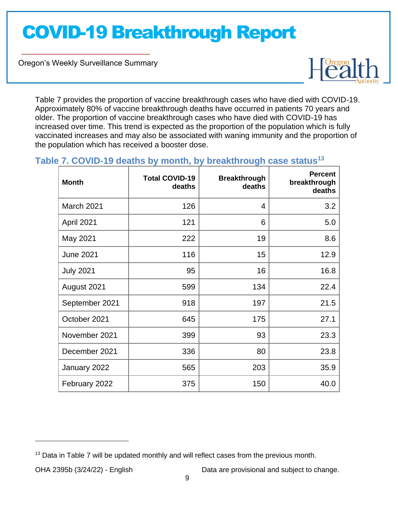Oregon's Weekly Surveillance Summary

Novel Coronavirus (COVID-19)



Table 7 provides the proportion of vaccine breakthrough cases who have died with COVID-19. Approximately 80% of vaccine breakthrough deaths have occurred in patients 70 years and older. The proportion of vaccine breakthrough cases who have died with COVID-19 has increased over time. This trend is expected as the proportion of the population which is fully vaccinated increases and may also be associated with waning immunity and the proportion of the population which has received a booster dose.

### **Table 7. COVID-19 deaths by month, by breakthrough case status<sup>13</sup>**

| <b>Month</b>     | <b>Total COVID-19</b><br>deaths | <b>Breakthrough</b><br>deaths | <b>Percent</b><br>breakthrough<br>deaths |
|------------------|---------------------------------|-------------------------------|------------------------------------------|
| March 2021       | 126                             | 4                             | 3.2                                      |
| April 2021       | 121                             | 6                             | 5.0                                      |
| May 2021         | 222                             | 19                            | 8.6                                      |
| <b>June 2021</b> | 116                             | 15                            | 12.9                                     |
| <b>July 2021</b> | 95                              | 16                            | 16.8                                     |
| August 2021      | 599                             | 134                           | 22.4                                     |
| September 2021   | 918                             | 197                           | 21.5                                     |
| October 2021     | 645                             | 175                           | 27.1                                     |
| November 2021    | 399                             | 93                            | 23.3                                     |
| December 2021    | 336                             | 80                            | 23.8                                     |
| January 2022     | 565                             | 203                           | 35.9                                     |
| February 2022    | 375                             | 150                           | 40.0                                     |

 $13$  Data in Table 7 will be updated monthly and will reflect cases from the previous month.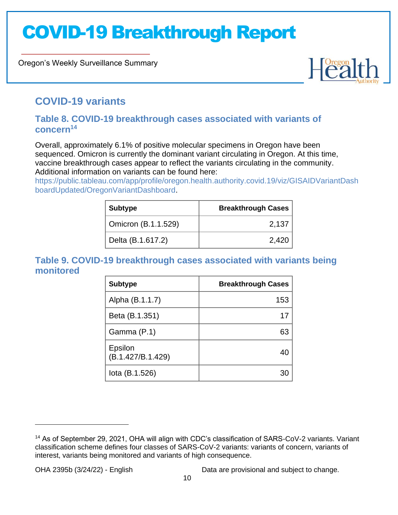Oregon's Weekly Surveillance Summary



### **COVID-19 variants**

Novel Coronavirus (COVID-19)

### **Table 8. COVID-19 breakthrough cases associated with variants of concern<sup>14</sup>**

Overall, approximately 6.1% of positive molecular specimens in Oregon have been sequenced. Omicron is currently the dominant variant circulating in Oregon. At this time, vaccine breakthrough cases appear to reflect the variants circulating in the community. Additional information on variants can be found here:

https://public.tableau.com/app/profile/oregon.health.authority.covid.19/viz/GISAIDVariantDash boardUpdated/OregonVariantDashboard.

| <b>Subtype</b>      | <b>Breakthrough Cases</b> |
|---------------------|---------------------------|
| Omicron (B.1.1.529) | 2,137                     |
| Delta (B.1.617.2)   | 2,420                     |

### **Table 9. COVID-19 breakthrough cases associated with variants being monitored**

| <b>Subtype</b>               | <b>Breakthrough Cases</b> |
|------------------------------|---------------------------|
| Alpha (B.1.1.7)              | 153                       |
| Beta (B.1.351)               | 17                        |
| Gamma (P.1)                  | 63                        |
| Epsilon<br>(B.1.427/B.1.429) |                           |
| lota (B.1.526)               |                           |

<sup>&</sup>lt;sup>14</sup> As of September 29, 2021, OHA will align with CDC's classification of SARS-CoV-2 variants. Variant classification scheme defines four classes of SARS-CoV-2 variants: variants of concern, variants of interest, variants being monitored and variants of high consequence.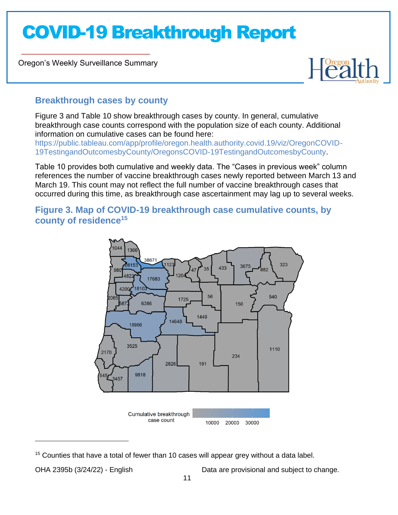Oregon's Weekly Surveillance Summary

Novel Coronavirus (COVID-19)



### **Breakthrough cases by county**

Figure 3 and Table 10 show breakthrough cases by county. In general, cumulative breakthrough case counts correspond with the population size of each county. Additional information on cumulative cases can be found here:

https://public.tableau.com/app/profile/oregon.health.authority.covid.19/viz/OregonCOVID-19TestingandOutcomesbyCounty/OregonsCOVID-19TestingandOutcomesbyCounty.

Table 10 provides both cumulative and weekly data. The "Cases in previous week" column references the number of vaccine breakthrough cases newly reported between March 13 and March 19. This count may not reflect the full number of vaccine breakthrough cases that occurred during this time, as breakthrough case ascertainment may lag up to several weeks.

### **Figure 3. Map of COVID-19 breakthrough case cumulative counts, by county of residence<sup>15</sup>**



 $15$  Counties that have a total of fewer than 10 cases will appear grey without a data label.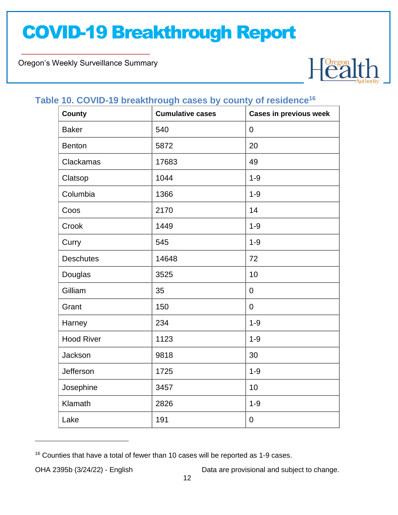Oregon's Weekly Surveillance Summary

Novel Coronavirus (COVID-19)



### **Table 10. COVID-19 breakthrough cases by county of residence<sup>16</sup>**

| <b>County</b>     | <b>Cumulative cases</b> | <b>Cases in previous week</b> |
|-------------------|-------------------------|-------------------------------|
| <b>Baker</b>      | 540                     | $\boldsymbol{0}$              |
| <b>Benton</b>     | 5872                    | 20                            |
| Clackamas         | 17683                   | 49                            |
| Clatsop           | 1044                    | $1 - 9$                       |
| Columbia          | 1366                    | $1 - 9$                       |
| Coos              | 2170                    | 14                            |
| Crook             | 1449                    | $1 - 9$                       |
| Curry             | 545                     | $1 - 9$                       |
| <b>Deschutes</b>  | 14648                   | 72                            |
| Douglas           | 3525                    | 10                            |
| Gilliam           | 35                      | $\boldsymbol{0}$              |
| Grant             | 150                     | $\boldsymbol{0}$              |
| Harney            | 234                     | $1 - 9$                       |
| <b>Hood River</b> | 1123                    | $1 - 9$                       |
| Jackson           | 9818                    | 30                            |
| Jefferson         | 1725                    | $1 - 9$                       |
| Josephine         | 3457                    | 10                            |
| Klamath           | 2826                    | $1 - 9$                       |
| Lake              | 191                     | 0                             |

<sup>&</sup>lt;sup>16</sup> Counties that have a total of fewer than 10 cases will be reported as 1-9 cases.